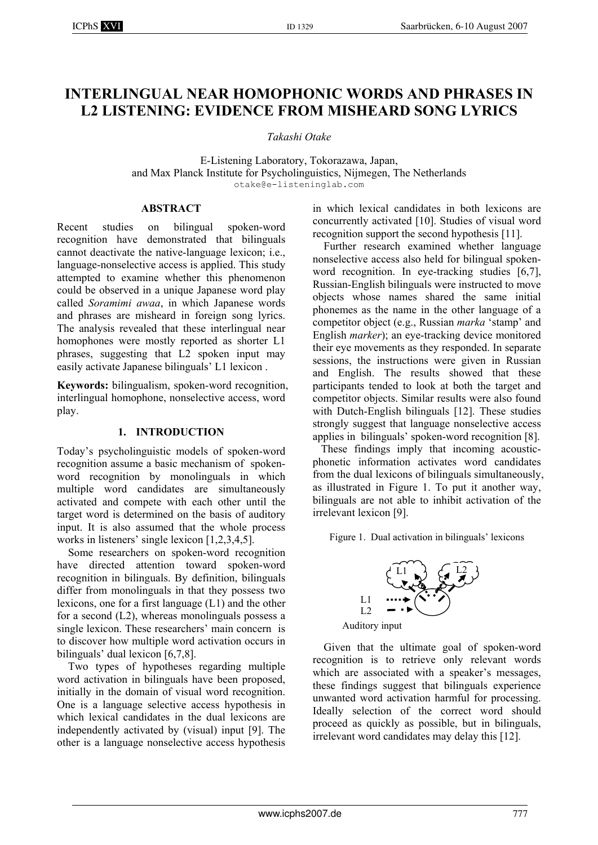# **INTERLINGUAL NEAR HOMOPHONIC WORDS AND PHRASES IN L2 LISTENING: EVIDENCE FROM MISHEARD SONG LYRICS**

*Takashi Otake* 

E-Listening Laboratory, Tokorazawa, Japan, and Max Planck Institute for Psycholinguistics, Nijmegen, The Netherlands otake@e-listeninglab.com

#### **ABSTRACT**

Recent studies on bilingual spoken-word recognition have demonstrated that bilinguals cannot deactivate the native-language lexicon; i.e., language-nonselective access is applied. This study attempted to examine whether this phenomenon could be observed in a unique Japanese word play called *Soramimi awaa*, in which Japanese words and phrases are misheard in foreign song lyrics. The analysis revealed that these interlingual near homophones were mostly reported as shorter L1 phrases, suggesting that L2 spoken input may easily activate Japanese bilinguals' L1 lexicon .

**Keywords:** bilingualism, spoken-word recognition, interlingual homophone, nonselective access, word play.

## **1. INTRODUCTION**

Today's psycholinguistic models of spoken-word recognition assume a basic mechanism of spokenword recognition by monolinguals in which multiple word candidates are simultaneously activated and compete with each other until the target word is determined on the basis of auditory input. It is also assumed that the whole process works in listeners' single lexicon [1,2,3,4,5].

Some researchers on spoken-word recognition have directed attention toward spoken-word recognition in bilinguals. By definition, bilinguals differ from monolinguals in that they possess two lexicons, one for a first language (L1) and the other for a second  $(L2)$ , whereas monolinguals possess a single lexicon. These researchers' main concern is to discover how multiple word activation occurs in bilinguals' dual lexicon [6,7,8].

Two types of hypotheses regarding multiple word activation in bilinguals have been proposed, initially in the domain of visual word recognition. One is a language selective access hypothesis in which lexical candidates in the dual lexicons are independently activated by (visual) input [9]. The other is a language nonselective access hypothesis in which lexical candidates in both lexicons are concurrently activated [10]. Studies of visual word recognition support the second hypothesis [11].

Further research examined whether language nonselective access also held for bilingual spokenword recognition. In eye-tracking studies [6,7], Russian-English bilinguals were instructed to move objects whose names shared the same initial phonemes as the name in the other language of a competitor object (e.g., Russian *marka* 'stamp' and English *marker*); an eye-tracking device monitored their eye movements as they responded. In separate sessions, the instructions were given in Russian and English. The results showed that these participants tended to look at both the target and competitor objects. Similar results were also found with Dutch-English bilinguals [12]. These studies strongly suggest that language nonselective access applies in bilinguals' spoken-word recognition [8].

 These findings imply that incoming acousticphonetic information activates word candidates from the dual lexicons of bilinguals simultaneously, as illustrated in Figure 1. To put it another way, bilinguals are not able to inhibit activation of the irrelevant lexicon [9].

Figure 1. Dual activation in bilinguals' lexicons



Auditory input

Given that the ultimate goal of spoken-word recognition is to retrieve only relevant words which are associated with a speaker's messages, these findings suggest that bilinguals experience unwanted word activation harmful for processing. Ideally selection of the correct word should proceed as quickly as possible, but in bilinguals, irrelevant word candidates may delay this [12].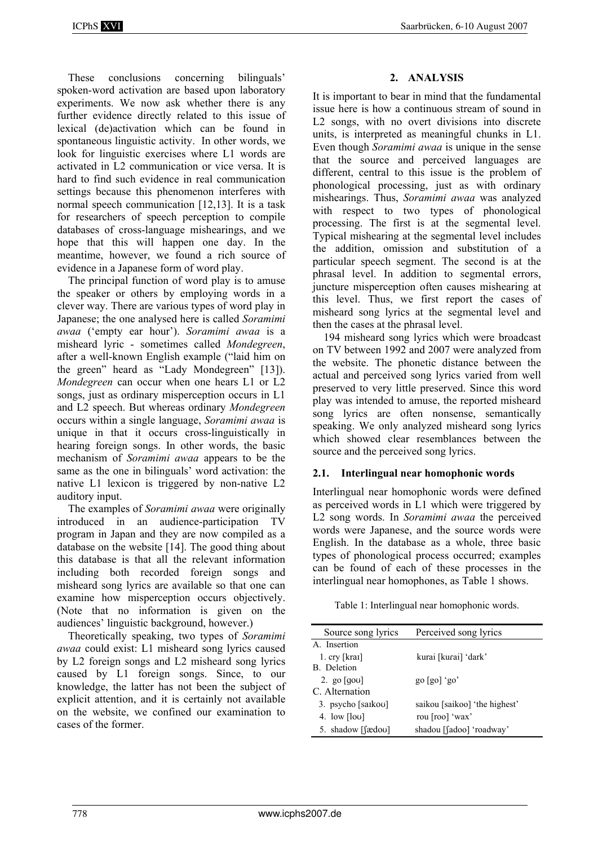These conclusions concerning bilinguals' spoken-word activation are based upon laboratory experiments. We now ask whether there is any further evidence directly related to this issue of lexical (de)activation which can be found in spontaneous linguistic activity. In other words, we look for linguistic exercises where L1 words are activated in L2 communication or vice versa. It is hard to find such evidence in real communication settings because this phenomenon interferes with normal speech communication [12,13]. It is a task for researchers of speech perception to compile databases of cross-language mishearings, and we hope that this will happen one day. In the meantime, however, we found a rich source of evidence in a Japanese form of word play.

The principal function of word play is to amuse the speaker or others by employing words in a clever way. There are various types of word play in Japanese; the one analysed here is called *Soramimi awaa* ('empty ear hour'). *Soramimi awaa* is a misheard lyric - sometimes called *Mondegreen*, after a well-known English example ("laid him on the green" heard as "Lady Mondegreen" [13]). *Mondegreen* can occur when one hears L1 or L2 songs, just as ordinary misperception occurs in L1 and L2 speech. But whereas ordinary *Mondegreen* occurs within a single language, *Soramimi awaa* is unique in that it occurs cross-linguistically in hearing foreign songs. In other words, the basic mechanism of *Soramimi awaa* appears to be the same as the one in bilinguals' word activation: the native L1 lexicon is triggered by non-native L2 auditory input.

The examples of *Soramimi awaa* were originally introduced in an audience-participation TV program in Japan and they are now compiled as a database on the website [14]. The good thing about this database is that all the relevant information including both recorded foreign songs and misheard song lyrics are available so that one can examine how misperception occurs objectively. (Note that no information is given on the audiences' linguistic background, however.)

Theoretically speaking, two types of *Soramimi awaa* could exist: L1 misheard song lyrics caused by L2 foreign songs and L2 misheard song lyrics caused by L1 foreign songs. Since, to our knowledge, the latter has not been the subject of explicit attention, and it is certainly not available on the website, we confined our examination to cases of the former.

## **2. ANALYSIS**

It is important to bear in mind that the fundamental issue here is how a continuous stream of sound in L2 songs, with no overt divisions into discrete units, is interpreted as meaningful chunks in L1. Even though *Soramimi awaa* is unique in the sense that the source and perceived languages are different, central to this issue is the problem of phonological processing, just as with ordinary mishearings. Thus, *Soramimi awaa* was analyzed with respect to two types of phonological processing. The first is at the segmental level. Typical mishearing at the segmental level includes the addition, omission and substitution of a particular speech segment. The second is at the phrasal level. In addition to segmental errors, juncture misperception often causes mishearing at this level. Thus, we first report the cases of misheard song lyrics at the segmental level and then the cases at the phrasal level.

194 misheard song lyrics which were broadcast on TV between 1992 and 2007 were analyzed from the website. The phonetic distance between the actual and perceived song lyrics varied from well preserved to very little preserved. Since this word play was intended to amuse, the reported misheard song lyrics are often nonsense, semantically speaking. We only analyzed misheard song lyrics which showed clear resemblances between the source and the perceived song lyrics.

## **2.1. Interlingual near homophonic words**

Interlingual near homophonic words were defined as perceived words in L1 which were triggered by L2 song words. In *Soramimi awaa* the perceived words were Japanese, and the source words were English. In the database as a whole, three basic types of phonological process occurred; examples can be found of each of these processes in the interlingual near homophones, as Table 1 shows.

Table 1: Interlingual near homophonic words.

| Source song lyrics                           | Perceived song lyrics         |  |
|----------------------------------------------|-------------------------------|--|
| A. Insertion                                 |                               |  |
| 1. $\text{cry}$ [krai]                       | kurai [kurai] 'dark'          |  |
| <b>B.</b> Deletion                           |                               |  |
| 2. go $\lceil q \circ u \rceil$              | $g_0$ [go] 'go'               |  |
| C. Alternation                               |                               |  |
| 3. psycho [saikou]                           | saikou [saikoo] 'the highest' |  |
| 4. low $\lceil \log \rceil$                  | rou [roo] 'wax'               |  |
| 5. shadow $\lceil$ and $\lceil$ and $\lceil$ | shadou [fadoo] 'roadway'      |  |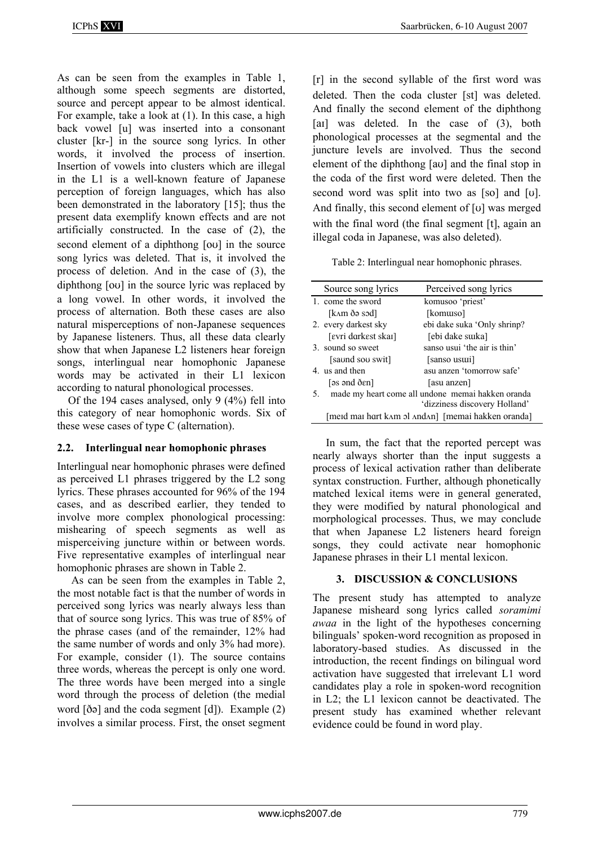As can be seen from the examples in Table 1, although some speech segments are distorted, source and percept appear to be almost identical. For example, take a look at (1). In this case, a high back vowel [u] was inserted into a consonant cluster [kr-] in the source song lyrics. In other words, it involved the process of insertion. Insertion of vowels into clusters which are illegal in the L1 is a well-known feature of Japanese perception of foreign languages, which has also been demonstrated in the laboratory [15]; thus the present data exemplify known effects and are not artificially constructed. In the case of (2), the second element of a diphthong  $\lceil \text{ou} \rceil$  in the source song lyrics was deleted. That is, it involved the process of deletion. And in the case of (3), the diphthong  $\lceil \text{ou} \rceil$  in the source lyric was replaced by a long vowel. In other words, it involved the process of alternation. Both these cases are also natural misperceptions of non-Japanese sequences by Japanese listeners. Thus, all these data clearly show that when Japanese L2 listeners hear foreign songs, interlingual near homophonic Japanese words may be activated in their L1 lexicon according to natural phonological processes.

Of the 194 cases analysed, only 9 (4%) fell into this category of near homophonic words. Six of these wese cases of type C (alternation).

## **2.2. Interlingual near homophonic phrases**

Interlingual near homophonic phrases were defined as perceived L1 phrases triggered by the L2 song lyrics. These phrases accounted for 96% of the 194 cases, and as described earlier, they tended to involve more complex phonological processing: mishearing of speech segments as well as misperceiving juncture within or between words. Five representative examples of interlingual near homophonic phrases are shown in Table 2.

As can be seen from the examples in Table 2, the most notable fact is that the number of words in perceived song lyrics was nearly always less than that of source song lyrics. This was true of 85% of the phrase cases (and of the remainder, 12% had the same number of words and only 3% had more). For example, consider (1). The source contains three words, whereas the percept is only one word. The three words have been merged into a single word through the process of deletion (the medial word  $\delta$ [ $\delta$ ] and the coda segment  $\delta$ [ $\delta$ ]). Example (2) involves a similar process. First, the onset segment

[r] in the second syllable of the first word was deleted. Then the coda cluster [st] was deleted. And finally the second element of the diphthong [ai] was deleted. In the case of (3), both phonological processes at the segmental and the juncture levels are involved. Thus the second element of the diphthong  $\lceil \text{av} \rceil$  and the final stop in the coda of the first word were deleted. Then the second word was split into two as [so] and [u]. And finally, this second element of [u] was merged with the final word (the final segment [t], again an illegal coda in Japanese, was also deleted).

Table 2: Interlingual near homophonic phrases.

|    | Source song lyrics                                 | Perceived song lyrics        |
|----|----------------------------------------------------|------------------------------|
|    | 1. come the sword                                  | komusoo 'priest'             |
|    | [kʌm ðə sɔd]                                       | [komuiso]                    |
|    | 2. every darkest sky                               | ebi dake suka 'Only shrinp?  |
|    | [evri darkest skar]                                | [ebi dake suika]             |
|    | 3 sound so sweet                                   | sanso usui 'the air is thin' |
|    | [saund sou swit]                                   | [sanso usuui]                |
|    | 4. us and then                                     | asu anzen 'tomorrow safe'    |
|    | $[ss$ and $\delta$ $\epsilon$ n]                   | [asu anzen]                  |
| 5. | made my heart come all undone memai hakken oranda  |                              |
|    | 'dizziness discovery Holland'                      |                              |
|    | [merd mar hart kʌm ɔl ʌndʌn] [memai hakken oranda] |                              |

In sum, the fact that the reported percept was nearly always shorter than the input suggests a process of lexical activation rather than deliberate syntax construction. Further, although phonetically matched lexical items were in general generated, they were modified by natural phonological and morphological processes. Thus, we may conclude that when Japanese L2 listeners heard foreign songs, they could activate near homophonic Japanese phrases in their L1 mental lexicon.

## **3. DISCUSSION & CONCLUSIONS**

The present study has attempted to analyze Japanese misheard song lyrics called *soramimi awaa* in the light of the hypotheses concerning bilinguals' spoken-word recognition as proposed in laboratory-based studies. As discussed in the introduction, the recent findings on bilingual word activation have suggested that irrelevant L1 word candidates play a role in spoken-word recognition in L2; the L1 lexicon cannot be deactivated. The present study has examined whether relevant evidence could be found in word play.